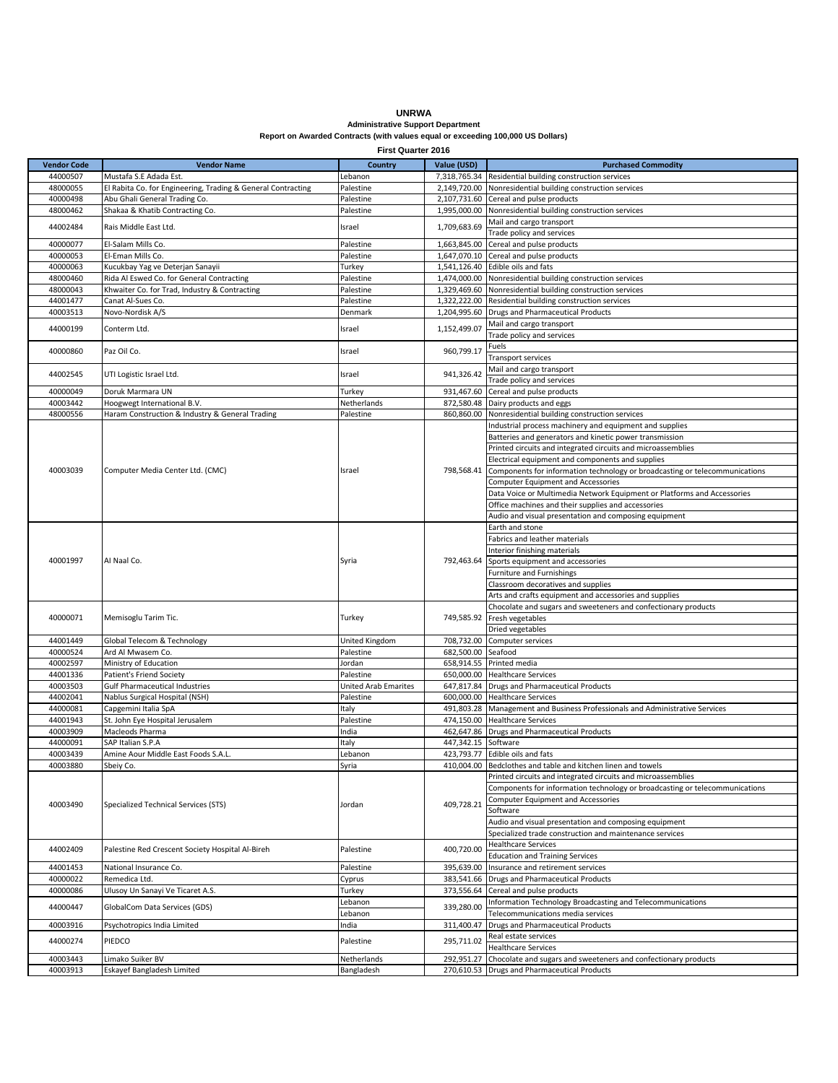## **UNRWA Administrative Support Department Report on Awarded Contracts (with values equal or exceeding 100,000 US Dollars)**

**First Quarter 2016**

| <b>Vendor Code</b> | <b>Vendor Name</b>                                           |                             | Value (USD)  | <b>Purchased Commodity</b>                                                   |
|--------------------|--------------------------------------------------------------|-----------------------------|--------------|------------------------------------------------------------------------------|
|                    |                                                              | <b>Country</b>              |              |                                                                              |
| 44000507           | Mustafa S.E Adada Est.                                       | Lebanon                     | 7,318,765.34 | Residential building construction services                                   |
| 48000055           | El Rabita Co. for Engineering, Trading & General Contracting | Palestine                   | 2,149,720.00 | Nonresidential building construction services                                |
| 40000498           | Abu Ghali General Trading Co.                                | Palestine                   | 2,107,731.60 | Cereal and pulse products                                                    |
| 48000462           | Shakaa & Khatib Contracting Co.                              | Palestine                   | 1,995,000.00 | Nonresidential building construction services                                |
| 44002484           | Rais Middle East Ltd.                                        | Israel                      | 1,709,683.69 | Mail and cargo transport                                                     |
|                    |                                                              |                             |              | Trade policy and services                                                    |
| 40000077           | El-Salam Mills Co.                                           | Palestine                   | 1,663,845.00 | Cereal and pulse products                                                    |
| 40000053           | El-Eman Mills Co.                                            | Palestine                   | 1,647,070.10 | Cereal and pulse products                                                    |
| 40000063           | Kucukbay Yag ve Deterjan Sanayii                             | Turkey                      | 1,541,126.40 | Edible oils and fats                                                         |
| 48000460           | Rida Al Eswed Co. for General Contracting                    | Palestine                   | 1,474,000.00 | Nonresidential building construction services                                |
| 48000043           | Khwaiter Co. for Trad, Industry & Contracting                | Palestine                   | 1,329,469.60 | Nonresidential building construction services                                |
| 44001477           | Canat Al-Sues Co.                                            | Palestine                   | 1,322,222.00 | Residential building construction services                                   |
| 40003513           | Novo-Nordisk A/S                                             | Denmark                     | 1,204,995.60 | <b>Drugs and Pharmaceutical Products</b>                                     |
|                    |                                                              | Israel                      | 1,152,499.07 | Mail and cargo transport                                                     |
| 44000199           | Conterm Ltd.                                                 |                             |              | Trade policy and services                                                    |
| 40000860           | Paz Oil Co.                                                  |                             |              | Fuels                                                                        |
|                    |                                                              | Israel                      | 960,799.17   | Transport services                                                           |
|                    |                                                              |                             |              | Mail and cargo transport                                                     |
| 44002545           | UTI Logistic Israel Ltd.                                     | Israel                      | 941,326.42   | Trade policy and services                                                    |
| 40000049           | Doruk Marmara UN                                             | Turkey                      | 931,467.60   | Cereal and pulse products                                                    |
| 40003442           | Hoogwegt International B.V.                                  | Netherlands                 | 872,580.48   | Dairy products and eggs                                                      |
| 48000556           | Haram Construction & Industry & General Trading              | Palestine                   | 860,860.00   | Nonresidential building construction services                                |
|                    |                                                              |                             |              | Industrial process machinery and equipment and supplies                      |
|                    |                                                              |                             |              | Batteries and generators and kinetic power transmission                      |
|                    |                                                              |                             |              | Printed circuits and integrated circuits and microassemblies                 |
|                    |                                                              | Israel                      |              | Electrical equipment and components and supplies                             |
| 40003039           | Computer Media Center Ltd. (CMC)                             |                             | 798,568.41   | Components for information technology or broadcasting or telecommunications  |
|                    |                                                              |                             |              | Computer Equipment and Accessories                                           |
|                    |                                                              |                             |              |                                                                              |
|                    |                                                              |                             |              | Data Voice or Multimedia Network Equipment or Platforms and Accessories      |
|                    |                                                              |                             |              | Office machines and their supplies and accessories                           |
|                    |                                                              |                             |              | Audio and visual presentation and composing equipment                        |
|                    |                                                              |                             |              | Earth and stone                                                              |
|                    |                                                              |                             |              | Fabrics and leather materials                                                |
|                    | Al Naal Co.                                                  | Syria                       |              | Interior finishing materials                                                 |
| 40001997           |                                                              |                             | 792,463.64   | Sports equipment and accessories                                             |
|                    |                                                              |                             |              | Furniture and Furnishings                                                    |
|                    |                                                              |                             |              | Classroom decoratives and supplies                                           |
|                    |                                                              |                             |              | Arts and crafts equipment and accessories and supplies                       |
|                    |                                                              | Turkey                      |              | Chocolate and sugars and sweeteners and confectionary products               |
| 40000071           | Memisoglu Tarim Tic.                                         |                             | 749,585.92   | Fresh vegetables                                                             |
|                    |                                                              |                             |              | Dried vegetables                                                             |
| 44001449           | Global Telecom & Technology                                  | United Kingdom              | 708,732.00   | Computer services                                                            |
| 40000524           | Ard Al Mwasem Co.                                            | Palestine                   | 682,500.00   | Seafood                                                                      |
| 40002597           | Ministry of Education                                        | Jordan                      |              | 658,914.55 Printed media                                                     |
| 44001336           | Patient's Friend Society                                     | Palestine                   |              | 650,000.00 Healthcare Services                                               |
| 40003503           | <b>Gulf Pharmaceutical Industries</b>                        | <b>United Arab Emarites</b> |              | 647,817.84 Drugs and Pharmaceutical Products                                 |
| 44002041           | Nablus Surgical Hospital (NSH)                               | Palestine                   | 600,000.00   | <b>Healthcare Services</b>                                                   |
| 44000081           | Capgemini Italia SpA                                         | Italy                       |              | 491,803.28 Management and Business Professionals and Administrative Services |
| 44001943           | St. John Eye Hospital Jerusalem                              | Palestine                   | 474,150.00   | <b>Healthcare Services</b>                                                   |
| 40003909           | Macleods Pharma                                              | India                       |              | 462,647.86 Drugs and Pharmaceutical Products                                 |
| 44000091           | SAP Italian S.P.A                                            | Italy                       | 447,342.15   | Software                                                                     |
| 40003439           | Amine Aour Middle East Foods S.A.L.                          | Lebanon                     |              | 423,793.77 Edible oils and fats                                              |
| 40003880           | Sbeiv Co.                                                    | Syria                       |              | 410.004.00 Bedclothes and table and kitchen linen and towels                 |
|                    |                                                              |                             |              | Printed circuits and integrated circuits and microassemblies                 |
|                    | Specialized Technical Services (STS)                         | Jordan                      |              | Components for information technology or broadcasting or telecommunications  |
|                    |                                                              |                             |              | <b>Computer Equipment and Accessories</b>                                    |
| 40003490           |                                                              |                             | 409,728.21   | Software                                                                     |
|                    |                                                              |                             |              | Audio and visual presentation and composing equipment                        |
|                    |                                                              |                             |              |                                                                              |
|                    |                                                              |                             |              | Specialized trade construction and maintenance services                      |
| 44002409           | Palestine Red Crescent Society Hospital Al-Bireh             | Palestine                   | 400,720.00   | <b>Healthcare Services</b>                                                   |
|                    |                                                              |                             |              | <b>Education and Training Services</b>                                       |
| 44001453           | National Insurance Co.                                       | Palestine                   | 395,639.00   | Insurance and retirement services                                            |
| 40000022           | Remedica Ltd.                                                | Cyprus                      | 383.541.66   | <b>Drugs and Pharmaceutical Products</b>                                     |
| 40000086           | Ulusoy Un Sanayi Ve Ticaret A.S.                             | Turkey                      | 373,556.64   | Cereal and pulse products                                                    |
| 44000447           | GlobalCom Data Services (GDS)                                | Lebanon                     | 339,280.00   | Information Technology Broadcasting and Telecommunications                   |
|                    |                                                              | Lebanon                     |              | Telecommunications media services                                            |
| 40003916           | Psychotropics India Limited                                  | India                       | 311,400.47   | <b>Drugs and Pharmaceutical Products</b>                                     |
| 44000274           | PIEDCO                                                       | Palestine                   | 295,711.02   | Real estate services                                                         |
|                    |                                                              |                             |              | <b>Healthcare Services</b>                                                   |
| 40003443           | Limako Suiker BV                                             | Netherlands                 | 292,951.27   | Chocolate and sugars and sweeteners and confectionary products               |
| 40003913           | Eskayef Bangladesh Limited                                   | Bangladesh                  | 270,610.53   | Drugs and Pharmaceutical Products                                            |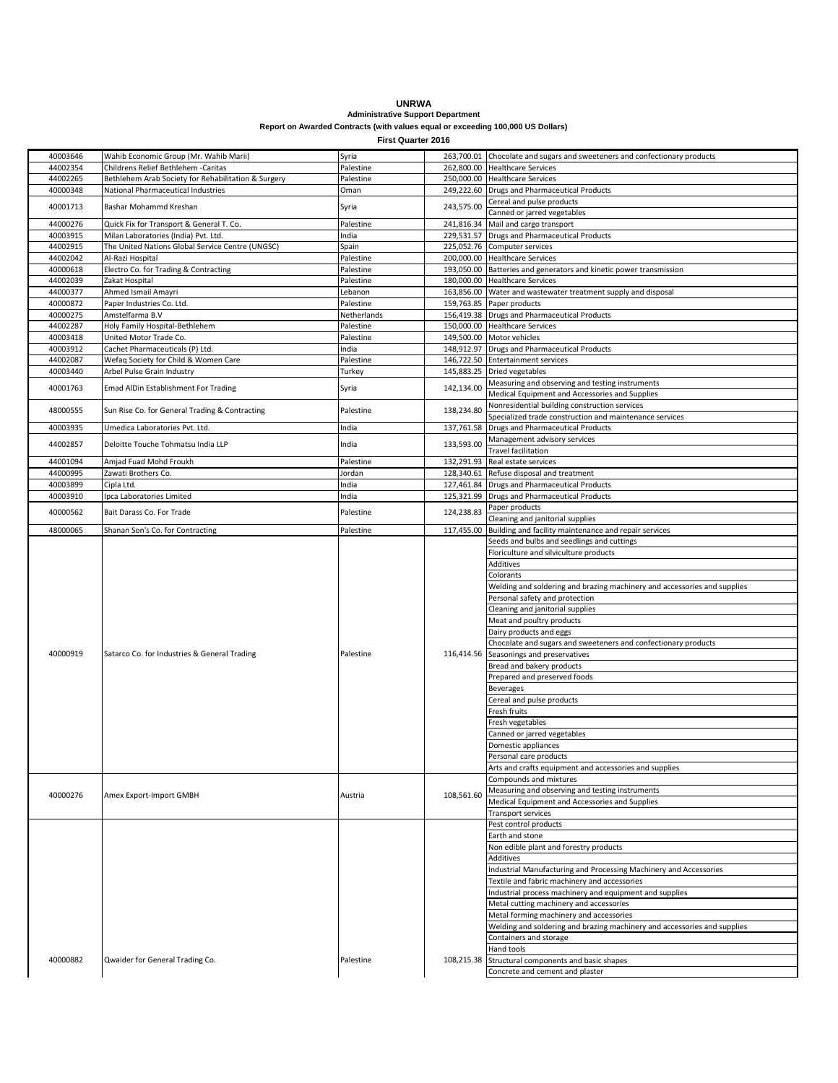## **UNRWA**

## **Administrative Support Department Report on Awarded Contracts (with values equal or exceeding 100,000 US Dollars)**

**First Quarter 2016**

| 40003646 | Wahib Economic Group (Mr. Wahib Marii)              | Syria       |            | 263,700.01 Chocolate and sugars and sweeteners and confectionary products |
|----------|-----------------------------------------------------|-------------|------------|---------------------------------------------------------------------------|
| 44002354 | Childrens Relief Bethlehem -Caritas                 | Palestine   |            | 262,800.00 Healthcare Services                                            |
| 44002265 | Bethlehem Arab Society for Rehabilitation & Surgery | Palestine   |            | 250,000.00 Healthcare Services                                            |
| 40000348 | National Pharmaceutical Industries                  | Oman        |            | 249,222.60 Drugs and Pharmaceutical Products                              |
|          |                                                     |             |            |                                                                           |
| 40001713 | Bashar Mohammd Kreshan                              | Syria       | 243,575.00 | Cereal and pulse products                                                 |
|          |                                                     |             |            | Canned or jarred vegetables                                               |
| 44000276 | Quick Fix for Transport & General T. Co.            | Palestine   |            | 241,816.34 Mail and cargo transport                                       |
| 40003915 | Milan Laboratories (India) Pvt. Ltd.                | India       |            | 229,531.57 Drugs and Pharmaceutical Products                              |
| 44002915 | The United Nations Global Service Centre (UNGSC)    | Spain       |            | 225,052.76 Computer services                                              |
| 44002042 | Al-Razi Hospital                                    | Palestine   |            | 200,000.00 Healthcare Services                                            |
| 40000618 |                                                     |             |            |                                                                           |
|          | Electro Co. for Trading & Contracting               | Palestine   |            | 193,050.00 Batteries and generators and kinetic power transmission        |
| 44002039 | Zakat Hospital                                      | Palestine   |            | 180,000.00 Healthcare Services                                            |
| 44000377 | Ahmed Ismail Amayri                                 | Lebanon     |            | 163,856.00 Water and wastewater treatment supply and disposal             |
| 40000872 | Paper Industries Co. Ltd.                           | Palestine   |            | 159,763.85 Paper products                                                 |
| 40000275 | Amstelfarma B.V                                     | Netherlands |            | 156,419.38 Drugs and Pharmaceutical Products                              |
| 44002287 | Holy Family Hospital-Bethlehem                      | Palestine   |            | 150,000.00 Healthcare Services                                            |
| 40003418 | United Motor Trade Co.                              | Palestine   |            |                                                                           |
|          |                                                     |             |            | 149,500.00 Motor vehicles                                                 |
| 40003912 | Cachet Pharmaceuticals (P) Ltd.                     | India       |            | 148,912.97 Drugs and Pharmaceutical Products                              |
| 44002087 | Wefaq Society for Child & Women Care                | Palestine   |            | 146,722.50 Entertainment services                                         |
| 40003440 | Arbel Pulse Grain Industry                          | Turkey      |            | 145,883.25 Dried vegetables                                               |
|          |                                                     |             |            | Measuring and observing and testing instruments                           |
| 40001763 | Emad AlDin Establishment For Trading                | Syria       | 142,134.00 | Medical Equipment and Accessories and Supplies                            |
|          |                                                     |             |            |                                                                           |
| 48000555 | Sun Rise Co. for General Trading & Contracting      | Palestine   | 138,234.80 | Nonresidential building construction services                             |
|          |                                                     |             |            | Specialized trade construction and maintenance services                   |
| 40003935 | Umedica Laboratories Pvt. Ltd.                      | India       | 137,761.58 | <b>Drugs and Pharmaceutical Products</b>                                  |
|          |                                                     |             |            | Management advisory services                                              |
| 44002857 | Deloitte Touche Tohmatsu India LLP                  | India       | 133,593.00 | Travel facilitation                                                       |
| 44001094 | Amjad Fuad Mohd Froukh                              | Palestine   | 132,291.93 | Real estate services                                                      |
|          |                                                     |             |            |                                                                           |
| 44000995 | Zawati Brothers Co.                                 | Jordan      |            | 128,340.61 Refuse disposal and treatment                                  |
| 40003899 | Cipla Ltd.                                          | India       |            | 127,461.84 Drugs and Pharmaceutical Products                              |
| 40003910 | Ipca Laboratories Limited                           | India       |            | 125,321.99 Drugs and Pharmaceutical Products                              |
|          |                                                     |             |            | Paper products                                                            |
| 40000562 | Bait Darass Co. For Trade                           | Palestine   | 124,238.83 | Cleaning and janitorial supplies                                          |
| 48000065 |                                                     |             |            |                                                                           |
|          | Shanan Son's Co. for Contracting                    | Palestine   | 117,455.00 | Building and facility maintenance and repair services                     |
|          |                                                     |             |            | Seeds and bulbs and seedlings and cuttings                                |
|          |                                                     |             |            | Floriculture and silviculture products                                    |
|          |                                                     |             |            | Additives                                                                 |
|          |                                                     |             |            | Colorants                                                                 |
|          |                                                     |             |            | Welding and soldering and brazing machinery and accessories and supplies  |
|          |                                                     |             |            |                                                                           |
|          |                                                     |             |            | Personal safety and protection                                            |
|          |                                                     |             |            | Cleaning and janitorial supplies                                          |
|          |                                                     |             |            | Meat and poultry products                                                 |
|          |                                                     |             |            | Dairy products and eggs                                                   |
|          |                                                     |             |            | Chocolate and sugars and sweeteners and confectionary products            |
| 40000919 | Satarco Co. for Industries & General Trading        | Palestine   |            | 116,414.56 Seasonings and preservatives                                   |
|          |                                                     |             |            |                                                                           |
|          |                                                     |             |            |                                                                           |
|          |                                                     |             |            | Bread and bakery products                                                 |
|          |                                                     |             |            | Prepared and preserved foods                                              |
|          |                                                     |             |            | <b>Beverages</b>                                                          |
|          |                                                     |             |            | Cereal and pulse products                                                 |
|          |                                                     |             |            |                                                                           |
|          |                                                     |             |            | Fresh fruits                                                              |
|          |                                                     |             |            | Fresh vegetables                                                          |
|          |                                                     |             |            | Canned or jarred vegetables                                               |
|          |                                                     |             |            | Domestic appliances                                                       |
|          |                                                     |             |            | ersonal care products                                                     |
|          |                                                     |             |            | Arts and crafts equipment and accessories and supplies                    |
|          |                                                     |             |            | Compounds and mixtures                                                    |
|          |                                                     |             |            |                                                                           |
| 40000276 | Amex Export-Import GMBH                             | Austria     | 108,561.60 | Measuring and observing and testing instruments                           |
|          |                                                     |             |            | Medical Equipment and Accessories and Supplies                            |
|          |                                                     |             |            | Transport services                                                        |
|          |                                                     |             |            | Pest control products                                                     |
|          |                                                     |             |            | Earth and stone                                                           |
|          |                                                     |             |            | Non edible plant and forestry products                                    |
|          |                                                     |             |            |                                                                           |
|          |                                                     |             |            | Additives                                                                 |
|          |                                                     |             |            | ndustrial Manufacturing and Processing Machinery and Accessories          |
|          |                                                     |             |            | Textile and fabric machinery and accessories                              |
|          |                                                     |             |            | Industrial process machinery and equipment and supplies                   |
|          |                                                     |             |            | Metal cutting machinery and accessories                                   |
|          |                                                     |             |            | Metal forming machinery and accessories                                   |
|          |                                                     |             |            |                                                                           |
|          |                                                     |             |            | Welding and soldering and brazing machinery and accessories and supplies  |
|          |                                                     |             |            | Containers and storage                                                    |
|          |                                                     |             |            | Hand tools                                                                |
| 40000882 | Qwaider for General Trading Co.                     | Palestine   | 108,215.38 | Structural components and basic shapes<br>Concrete and cement and plaster |